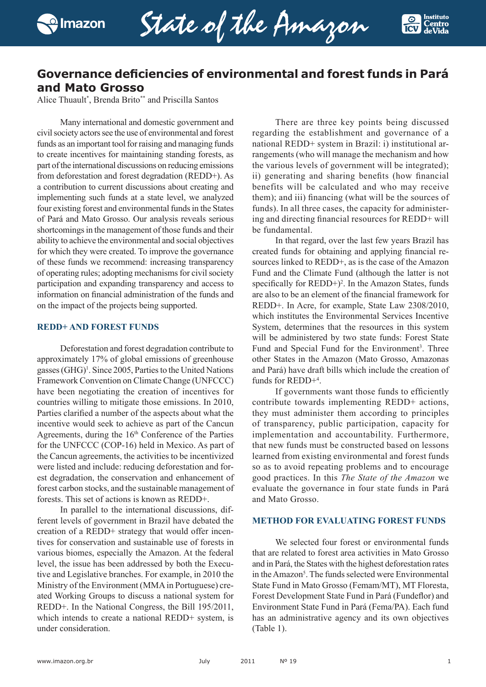

State of the Amazon



# **Governance deficiencies of environmental and forest funds in Pará and Mato Grosso**

Alice Thuault\* , Brenda Brito\*\* and Priscilla Santos

Many international and domestic government and civil society actors see the use of environmental and forest funds as an important tool for raising and managing funds to create incentives for maintaining standing forests, as part of the international discussions on reducing emissions from deforestation and forest degradation (REDD+). As a contribution to current discussions about creating and implementing such funds at a state level, we analyzed four existing forest and environmental funds in the States of Pará and Mato Grosso. Our analysis reveals serious shortcomings in the management of those funds and their ability to achieve the environmental and social objectives for which they were created. To improve the governance of these funds we recommend: increasing transparency of operating rules; adopting mechanisms for civil society participation and expanding transparency and access to information on financial administration of the funds and on the impact of the projects being supported.

## **REDD+ AND FOREST FUNDS**

Deforestation and forest degradation contribute to approximately 17% of global emissions of greenhouse gasses (GHG)<sup>1</sup>. Since 2005, Parties to the United Nations Framework Convention on Climate Change (UNFCCC) have been negotiating the creation of incentives for countries willing to mitigate those emissions. In 2010, Parties clarified a number of the aspects about what the incentive would seek to achieve as part of the Cancun Agreements, during the 16<sup>th</sup> Conference of the Parties for the UNFCCC (COP-16) held in Mexico. As part of the Cancun agreements, the activities to be incentivized were listed and include: reducing deforestation and forest degradation, the conservation and enhancement of forest carbon stocks, and the sustainable management of forests. This set of actions is known as REDD+.

In parallel to the international discussions, different levels of government in Brazil have debated the creation of a REDD+ strategy that would offer incentives for conservation and sustainable use of forests in various biomes, especially the Amazon. At the federal level, the issue has been addressed by both the Executive and Legislative branches. For example, in 2010 the Ministry of the Environment (MMA in Portuguese) created Working Groups to discuss a national system for REDD+. In the National Congress, the Bill 195/2011, which intends to create a national REDD+ system, is under consideration.

There are three key points being discussed regarding the establishment and governance of a national REDD+ system in Brazil: i) institutional arrangements (who will manage the mechanism and how the various levels of government will be integrated); ii) generating and sharing benefits (how financial benefits will be calculated and who may receive them); and iii) financing (what will be the sources of funds). In all three cases, the capacity for administering and directing financial resources for REDD+ will be fundamental.

In that regard, over the last few years Brazil has created funds for obtaining and applying financial resources linked to REDD+, as is the case of the Amazon Fund and the Climate Fund (although the latter is not specifically for  $REDD+$ )<sup>2</sup>. In the Amazon States, funds are also to be an element of the financial framework for REDD+. In Acre, for example, State Law 2308/2010, which institutes the Environmental Services Incentive System, determines that the resources in this system will be administered by two state funds: Forest State Fund and Special Fund for the Environment<sup>3</sup>. Three other States in the Amazon (Mato Grosso, Amazonas and Pará) have draft bills which include the creation of funds for REDD+4 .

If governments want those funds to efficiently contribute towards implementing REDD+ actions, they must administer them according to principles of transparency, public participation, capacity for implementation and accountability. Furthermore, that new funds must be constructed based on lessons learned from existing environmental and forest funds so as to avoid repeating problems and to encourage good practices. In this *The State of the Amazon* we evaluate the governance in four state funds in Pará and Mato Grosso.

### **METHOD FOR EVALUATING FOREST FUNDS**

We selected four forest or environmental funds that are related to forest area activities in Mato Grosso and in Pará, the States with the highest deforestation rates in the Amazon<sup>5</sup>. The funds selected were Environmental State Fund in Mato Grosso (Femam/MT), MT Floresta, Forest Development State Fund in Pará (Fundeflor) and Environment State Fund in Pará (Fema/PA). Each fund has an administrative agency and its own objectives (Table 1).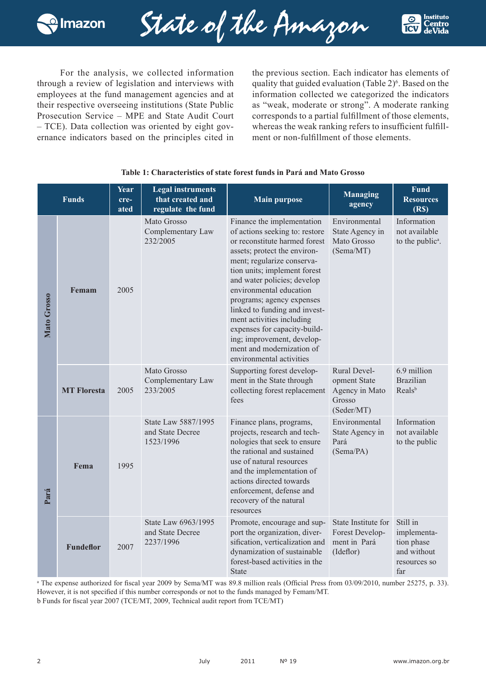

State of the Amazon



For the analysis, we collected information through a review of legislation and interviews with employees at the fund management agencies and at their respective overseeing institutions (State Public Prosecution Service – MPE and State Audit Court – TCE). Data collection was oriented by eight governance indicators based on the principles cited in

the previous section. Each indicator has elements of quality that guided evaluation (Table 2)<sup>6</sup>. Based on the information collected we categorized the indicators as "weak, moderate or strong". A moderate ranking corresponds to a partial fulfillment of those elements, whereas the weak ranking refers to insufficient fulfillment or non-fulfillment of those elements.

|             | <b>Funds</b>       | Year<br>cre-<br>ated | <b>Legal instruments</b><br>that created and<br>regulate the fund | <b>Main purpose</b>                                                                                                                                                                                                                                                                                                                                                                                                                                                     | <b>Managing</b><br>agency                                              | Fund<br><b>Resources</b><br>(R <sub>s</sub> )                               |
|-------------|--------------------|----------------------|-------------------------------------------------------------------|-------------------------------------------------------------------------------------------------------------------------------------------------------------------------------------------------------------------------------------------------------------------------------------------------------------------------------------------------------------------------------------------------------------------------------------------------------------------------|------------------------------------------------------------------------|-----------------------------------------------------------------------------|
| Mato Grosso | Femam              | 2005                 | Mato Grosso<br>Complementary Law<br>232/2005                      | Finance the implementation<br>of actions seeking to: restore<br>or reconstitute harmed forest<br>assets; protect the environ-<br>ment; regularize conserva-<br>tion units; implement forest<br>and water policies; develop<br>environmental education<br>programs; agency expenses<br>linked to funding and invest-<br>ment activities including<br>expenses for capacity-build-<br>ing; improvement, develop-<br>ment and modernization of<br>environmental activities | Environmental<br>State Agency in<br>Mato Grosso<br>(Sema/MT)           | Information<br>not available<br>to the public <sup>a</sup> .                |
|             | <b>MT Floresta</b> | 2005                 | Mato Grosso<br>Complementary Law<br>233/2005                      | Supporting forest develop-<br>ment in the State through<br>collecting forest replacement<br>fees                                                                                                                                                                                                                                                                                                                                                                        | Rural Devel-<br>opment State<br>Agency in Mato<br>Grosso<br>(Seder/MT) | 6.9 million<br><b>Brazilian</b><br>Reals <sup>b</sup>                       |
| Pará        | Fema               | 1995                 | State Law 5887/1995<br>and State Decree<br>1523/1996              | Finance plans, programs,<br>projects, research and tech-<br>nologies that seek to ensure<br>the rational and sustained<br>use of natural resources<br>and the implementation of<br>actions directed towards<br>enforcement, defense and<br>recovery of the natural<br>resources                                                                                                                                                                                         | Environmental<br>State Agency in<br>Pará<br>(Sema/PA)                  | Information<br>not available<br>to the public                               |
|             | <b>Fundeflor</b>   | 2007                 | State Law 6963/1995<br>and State Decree<br>2237/1996              | Promote, encourage and sup-<br>port the organization, diver-<br>sification, verticalization and<br>dynamization of sustainable<br>forest-based activities in the<br><b>State</b>                                                                                                                                                                                                                                                                                        | State Institute for<br>Forest Develop-<br>ment in Pará<br>(Ideflor)    | Still in<br>implementa-<br>tion phase<br>and without<br>resources so<br>far |

## **Table 1: Characteristics of state forest funds in Pará and Mato Grosso**

<sup>a</sup> The expense authorized for fiscal year 2009 by Sema/MT was 89.8 million reals (Official Press from 03/09/2010, number 25275, p. 33). However, it is not specified if this number corresponds or not to the funds managed by Femam/MT.

b Funds for fiscal year 2007 (TCE/MT, 2009, Technical audit report from TCE/MT)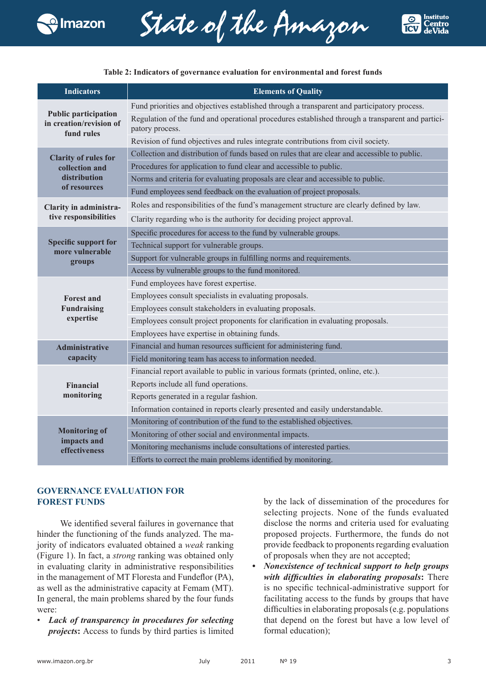

State of the Amazon



#### **Table 2: Indicators of governance evaluation for environmental and forest funds**

| <b>Indicators</b>                                                    | <b>Elements of Quality</b>                                                                                          |  |  |  |
|----------------------------------------------------------------------|---------------------------------------------------------------------------------------------------------------------|--|--|--|
|                                                                      | Fund priorities and objectives established through a transparent and participatory process.                         |  |  |  |
| <b>Public participation</b><br>in creation/revision of<br>fund rules | Regulation of the fund and operational procedures established through a transparent and partici-<br>patory process. |  |  |  |
|                                                                      | Revision of fund objectives and rules integrate contributions from civil society.                                   |  |  |  |
| <b>Clarity of rules for</b>                                          | Collection and distribution of funds based on rules that are clear and accessible to public.                        |  |  |  |
| collection and                                                       | Procedures for application to fund clear and accessible to public.                                                  |  |  |  |
| distribution                                                         | Norms and criteria for evaluating proposals are clear and accessible to public.                                     |  |  |  |
| of resources                                                         | Fund employees send feedback on the evaluation of project proposals.                                                |  |  |  |
| Clarity in administra-                                               | Roles and responsibilities of the fund's management structure are clearly defined by law.                           |  |  |  |
| tive responsibilities                                                | Clarity regarding who is the authority for deciding project approval.                                               |  |  |  |
|                                                                      | Specific procedures for access to the fund by vulnerable groups.                                                    |  |  |  |
| <b>Specific support for</b><br>more vulnerable                       | Technical support for vulnerable groups.                                                                            |  |  |  |
| groups                                                               | Support for vulnerable groups in fulfilling norms and requirements.                                                 |  |  |  |
|                                                                      | Access by vulnerable groups to the fund monitored.                                                                  |  |  |  |
|                                                                      | Fund employees have forest expertise.                                                                               |  |  |  |
| <b>Forest and</b>                                                    | Employees consult specialists in evaluating proposals.                                                              |  |  |  |
| <b>Fundraising</b>                                                   | Employees consult stakeholders in evaluating proposals.                                                             |  |  |  |
| expertise                                                            | Employees consult project proponents for clarification in evaluating proposals.                                     |  |  |  |
|                                                                      | Employees have expertise in obtaining funds.                                                                        |  |  |  |
| <b>Administrative</b>                                                | Financial and human resources sufficient for administering fund.                                                    |  |  |  |
| capacity                                                             | Field monitoring team has access to information needed.                                                             |  |  |  |
|                                                                      | Financial report available to public in various formats (printed, online, etc.).                                    |  |  |  |
| Financial                                                            | Reports include all fund operations.                                                                                |  |  |  |
| monitoring                                                           | Reports generated in a regular fashion.                                                                             |  |  |  |
|                                                                      | Information contained in reports clearly presented and easily understandable.                                       |  |  |  |
|                                                                      | Monitoring of contribution of the fund to the established objectives.                                               |  |  |  |
| <b>Monitoring of</b><br>impacts and                                  | Monitoring of other social and environmental impacts.                                                               |  |  |  |
| effectiveness                                                        | Monitoring mechanisms include consultations of interested parties.                                                  |  |  |  |
|                                                                      | Efforts to correct the main problems identified by monitoring.                                                      |  |  |  |

## **GOVERNANCE EVALUATION FOR FOREST FUNDS**

We identified several failures in governance that hinder the functioning of the funds analyzed. The majority of indicators evaluated obtained a *weak* ranking (Figure 1). In fact, a *strong* ranking was obtained only in evaluating clarity in administrative responsibilities in the management of MT Floresta and Fundeflor (PA), as well as the administrative capacity at Femam (MT). In general, the main problems shared by the four funds were:

• *Lack of transparency in procedures for selecting projects***:** Access to funds by third parties is limited by the lack of dissemination of the procedures for selecting projects. None of the funds evaluated disclose the norms and criteria used for evaluating proposed projects. Furthermore, the funds do not provide feedback to proponents regarding evaluation of proposals when they are not accepted;

*• Nonexistence of technical support to help groups with difficulties in elaborating proposals***:** There is no specific technical-administrative support for facilitating access to the funds by groups that have difficulties in elaborating proposals (e.g. populations that depend on the forest but have a low level of formal education);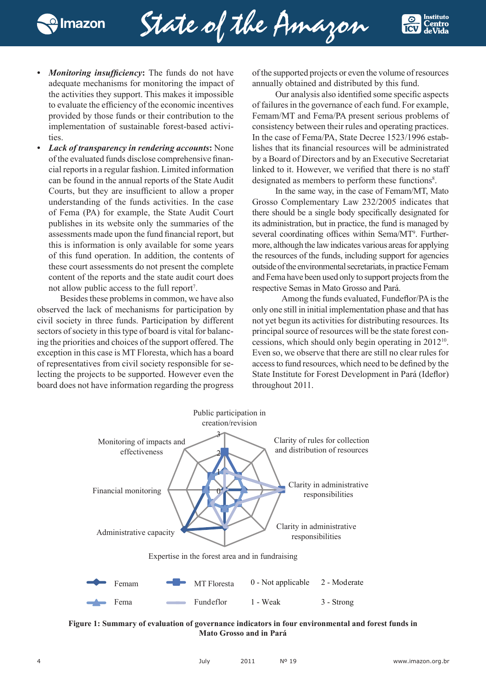

State of the Amazon



- *Monitoring insufficiency*: The funds do not have adequate mechanisms for monitoring the impact of the activities they support. This makes it impossible to evaluate the efficiency of the economic incentives provided by those funds or their contribution to the implementation of sustainable forest-based activities
- *• Lack of transparency in rendering accounts***:** None of the evaluated funds disclose comprehensive financial reports in a regular fashion. Limited information can be found in the annual reports of the State Audit Courts, but they are insufficient to allow a proper understanding of the funds activities. In the case of Fema (PA) for example, the State Audit Court publishes in its website only the summaries of the assessments made upon the fund financial report, but this is information is only available for some years of this fund operation. In addition, the contents of these court assessments do not present the complete content of the reports and the state audit court does not allow public access to the full report<sup>7</sup>.

Besides these problems in common, we have also observed the lack of mechanisms for participation by civil society in three funds. Participation by different sectors of society in this type of board is vital for balancing the priorities and choices of the support offered. The exception in this case is MT Floresta, which has a board of representatives from civil society responsible for selecting the projects to be supported. However even the board does not have information regarding the progress of the supported projects or even the volume of resources annually obtained and distributed by this fund.

Our analysis also identified some specific aspects of failures in the governance of each fund. For example, Femam/MT and Fema/PA present serious problems of consistency between their rules and operating practices. In the case of Fema/PA, State Decree 1523/1996 establishes that its financial resources will be administrated by a Board of Directors and by an Executive Secretariat linked to it. However, we verified that there is no staff designated as members to perform these functions<sup>8</sup>.

In the same way, in the case of Femam/MT, Mato Grosso Complementary Law 232/2005 indicates that there should be a single body specifically designated for its administration, but in practice, the fund is managed by several coordinating offices within Sema/MT<sup>9</sup>. Furthermore, although the law indicates various areas for applying the resources of the funds, including support for agencies outside of the environmental secretariats, in practice Femam and Fema have been used only to support projects from the respective Semas in Mato Grosso and Pará.

Among the funds evaluated, Fundeflor/PA is the only one still in initial implementation phase and that has not yet begun its activities for distributing resources. Its principal source of resources will be the state forest concessions, which should only begin operating in 201210. Even so, we observe that there are still no clear rules for access to fund resources, which need to be defined by the State Institute for Forest Development in Pará (Ideflor) throughout 2011.



**Figure 1: Summary of evaluation of governance indicators in four environmental and forest funds in Mato Grosso and in Pará**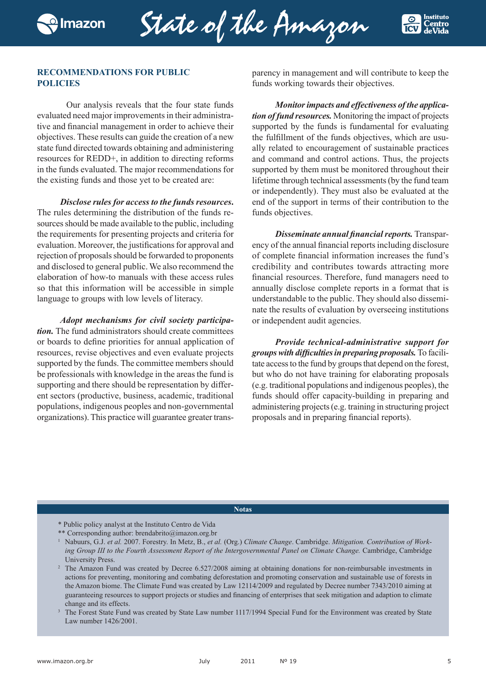State of the Amazon



## **RECOMMENDATIONS FOR PUBLIC POLICIES**

Our analysis reveals that the four state funds evaluated need major improvements in their administrative and financial management in order to achieve their objectives. These results can guide the creation of a new state fund directed towards obtaining and administering resources for REDD+, in addition to directing reforms in the funds evaluated. The major recommendations for the existing funds and those yet to be created are:

*Disclose rules for access to the funds resources***.**  The rules determining the distribution of the funds resources should be made available to the public, including the requirements for presenting projects and criteria for evaluation. Moreover, the justifications for approval and rejection of proposals should be forwarded to proponents and disclosed to general public. We also recommend the elaboration of how-to manuals with these access rules so that this information will be accessible in simple language to groups with low levels of literacy.

*Adopt mechanisms for civil society participation.* The fund administrators should create committees or boards to define priorities for annual application of resources, revise objectives and even evaluate projects supported by the funds. The committee members should be professionals with knowledge in the areas the fund is supporting and there should be representation by different sectors (productive, business, academic, traditional populations, indigenous peoples and non-governmental organizations). This practice will guarantee greater transparency in management and will contribute to keep the funds working towards their objectives.

*Monitor impacts and effectiveness of the application of fund resources.* Monitoring the impact of projects supported by the funds is fundamental for evaluating the fulfillment of the funds objectives, which are usually related to encouragement of sustainable practices and command and control actions. Thus, the projects supported by them must be monitored throughout their lifetime through technical assessments (by the fund team or independently). They must also be evaluated at the end of the support in terms of their contribution to the funds objectives.

*Disseminate annual financial reports.* Transparency of the annual financial reports including disclosure of complete financial information increases the fund's credibility and contributes towards attracting more financial resources. Therefore, fund managers need to annually disclose complete reports in a format that is understandable to the public. They should also disseminate the results of evaluation by overseeing institutions or independent audit agencies.

*Provide technical-administrative support for groupswith difficultiesin preparing proposals.* To facilitate access to the fund by groups that depend on the forest, but who do not have training for elaborating proposals (e.g. traditional populations and indigenous peoples), the funds should offer capacity-building in preparing and administering projects (e.g. training in structuring project proposals and in preparing financial reports).

#### **Notas**

- \* Public policy analyst at the Instituto Centro de Vida
- \*\* Corresponding author: brendabrito@imazon.org.br

<sup>1</sup> Nabuurs, G.J. *et al.* 2007. Forestry. In Metz, B., *et al.* (Org.) *Climate Change*. Cambridge. *Mitigation. Contribution of Work*ing Group III to the Fourth Assessment Report of the Intergovernmental Panel on Climate Change. Cambridge, Cambridge University Press.

- <sup>2</sup> The Amazon Fund was created by Decree 6.527/2008 aiming at obtaining donations for non-reimbursable investments in actions for preventing, monitoring and combating deforestation and promoting conservation and sustainable use of forests in the Amazon biome. The Climate Fund was created by Law 12114/2009 and regulated by Decree number 7343/2010 aiming at guaranteeing resources to support projects or studies and financing of enterprises that seek mitigation and adaption to climate change and its effects.
- <sup>3</sup> The Forest State Fund was created by State Law number 1117/1994 Special Fund for the Environment was created by State Law number 1426/2001.